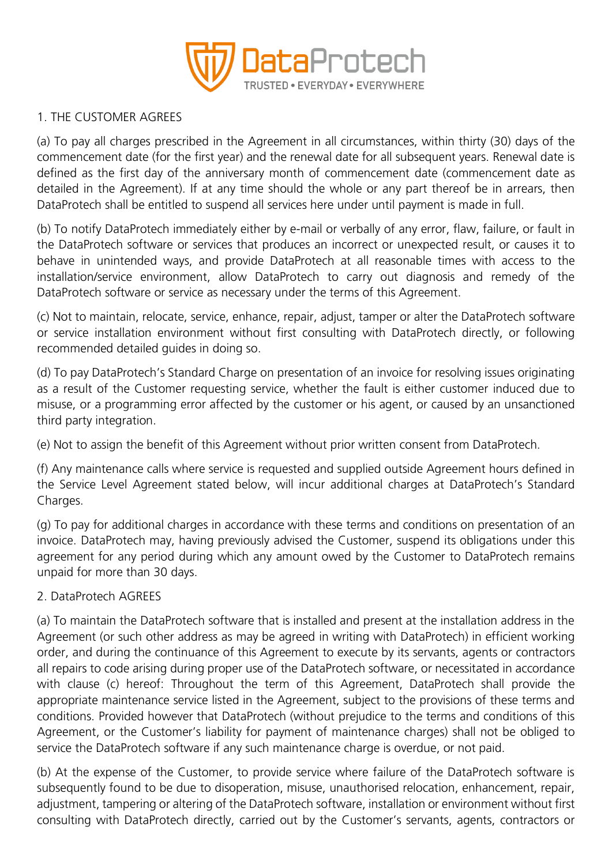

# 1. THE CUSTOMER AGREES

(a) To pay all charges prescribed in the Agreement in all circumstances, within thirty (30) days of the commencement date (for the first year) and the renewal date for all subsequent years. Renewal date is defined as the first day of the anniversary month of commencement date (commencement date as detailed in the Agreement). If at any time should the whole or any part thereof be in arrears, then DataProtech shall be entitled to suspend all services here under until payment is made in full.

(b) To notify DataProtech immediately either by e-mail or verbally of any error, flaw, failure, or fault in the DataProtech software or services that produces an incorrect or unexpected result, or causes it to behave in unintended ways, and provide DataProtech at all reasonable times with access to the installation/service environment, allow DataProtech to carry out diagnosis and remedy of the DataProtech software or service as necessary under the terms of this Agreement.

(c) Not to maintain, relocate, service, enhance, repair, adjust, tamper or alter the DataProtech software or service installation environment without first consulting with DataProtech directly, or following recommended detailed guides in doing so.

(d) To pay DataProtech's Standard Charge on presentation of an invoice for resolving issues originating as a result of the Customer requesting service, whether the fault is either customer induced due to misuse, or a programming error affected by the customer or his agent, or caused by an unsanctioned third party integration.

(e) Not to assign the benefit of this Agreement without prior written consent from DataProtech.

(f) Any maintenance calls where service is requested and supplied outside Agreement hours defined in the Service Level Agreement stated below, will incur additional charges at DataProtech's Standard Charges.

(g) To pay for additional charges in accordance with these terms and conditions on presentation of an invoice. DataProtech may, having previously advised the Customer, suspend its obligations under this agreement for any period during which any amount owed by the Customer to DataProtech remains unpaid for more than 30 days.

# 2. DataProtech AGREES

(a) To maintain the DataProtech software that is installed and present at the installation address in the Agreement (or such other address as may be agreed in writing with DataProtech) in efficient working order, and during the continuance of this Agreement to execute by its servants, agents or contractors all repairs to code arising during proper use of the DataProtech software, or necessitated in accordance with clause (c) hereof: Throughout the term of this Agreement, DataProtech shall provide the appropriate maintenance service listed in the Agreement, subject to the provisions of these terms and conditions. Provided however that DataProtech (without prejudice to the terms and conditions of this Agreement, or the Customer's liability for payment of maintenance charges) shall not be obliged to service the DataProtech software if any such maintenance charge is overdue, or not paid.

(b) At the expense of the Customer, to provide service where failure of the DataProtech software is subsequently found to be due to disoperation, misuse, unauthorised relocation, enhancement, repair, adjustment, tampering or altering of the DataProtech software, installation or environment without first consulting with DataProtech directly, carried out by the Customer's servants, agents, contractors or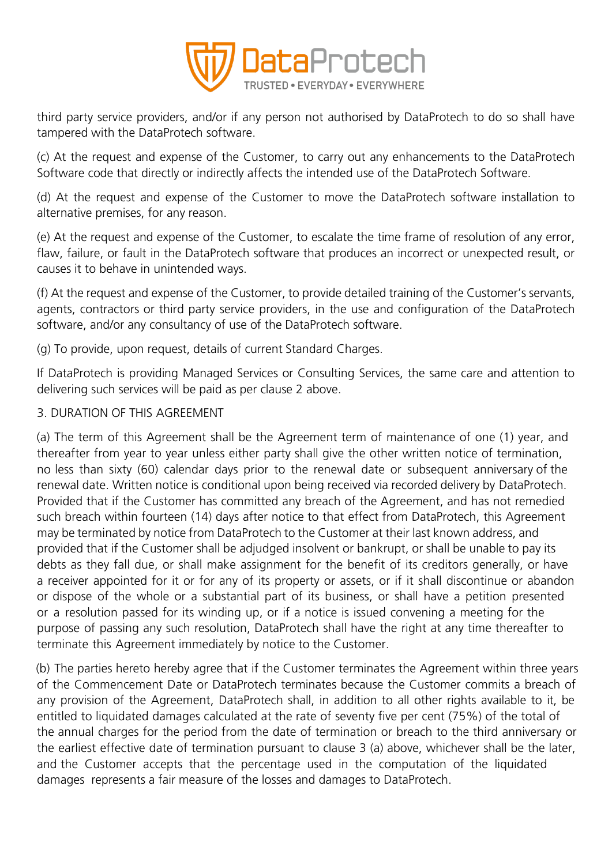

third party service providers, and/or if any person not authorised by DataProtech to do so shall have tampered with the DataProtech software.

(c) At the request and expense of the Customer, to carry out any enhancements to the DataProtech Software code that directly or indirectly affects the intended use of the DataProtech Software.

(d) At the request and expense of the Customer to move the DataProtech software installation to alternative premises, for any reason.

(e) At the request and expense of the Customer, to escalate the time frame of resolution of any error, flaw, failure, or fault in the DataProtech software that produces an incorrect or unexpected result, or causes it to behave in unintended ways.

(f) At the request and expense of the Customer, to provide detailed training of the Customer's servants, agents, contractors or third party service providers, in the use and configuration of the DataProtech software, and/or any consultancy of use of the DataProtech software.

(g) To provide, upon request, details of current Standard Charges.

If DataProtech is providing Managed Services or Consulting Services, the same care and attention to delivering such services will be paid as per clause 2 above.

# 3. DURATION OF THIS AGREEMENT

(a) The term of this Agreement shall be the Agreement term of maintenance of one (1) year, and thereafter from year to year unless either party shall give the other written notice of termination, no less than sixty (60) calendar days prior to the renewal date or subsequent anniversary of the renewal date. Written notice is conditional upon being received via recorded delivery by DataProtech. Provided that if the Customer has committed any breach of the Agreement, and has not remedied such breach within fourteen (14) days after notice to that effect from DataProtech, this Agreement may be terminated by notice from DataProtech to the Customer at their last known address, and provided that if the Customer shall be adjudged insolvent or bankrupt, or shall be unable to pay its debts as they fall due, or shall make assignment for the benefit of its creditors generally, or have a receiver appointed for it or for any of its property or assets, or if it shall discontinue or abandon or dispose of the whole or a substantial part of its business, or shall have a petition presented or a resolution passed for its winding up, or if a notice is issued convening a meeting for the purpose of passing any such resolution, DataProtech shall have the right at any time thereafter to terminate this Agreement immediately by notice to the Customer.

(b) The parties hereto hereby agree that if the Customer terminates the Agreement within three years of the Commencement Date or DataProtech terminates because the Customer commits a breach of any provision of the Agreement, DataProtech shall, in addition to all other rights available to it, be entitled to liquidated damages calculated at the rate of seventy five per cent (75%) of the total of the annual charges for the period from the date of termination or breach to the third anniversary or the earliest effective date of termination pursuant to clause 3 (a) above, whichever shall be the later, and the Customer accepts that the percentage used in the computation of the liquidated damages represents a fair measure of the losses and damages to DataProtech.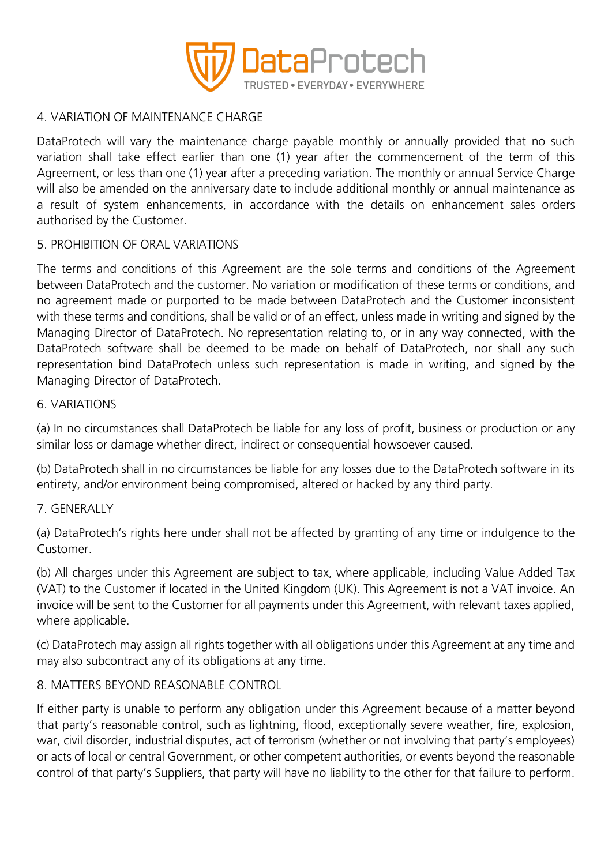

# 4. VARIATION OF MAINTENANCE CHARGE

DataProtech will vary the maintenance charge payable monthly or annually provided that no such variation shall take effect earlier than one (1) year after the commencement of the term of this Agreement, or less than one (1) year after a preceding variation. The monthly or annual Service Charge will also be amended on the anniversary date to include additional monthly or annual maintenance as a result of system enhancements, in accordance with the details on enhancement sales orders authorised by the Customer.

# 5. PROHIBITION OF ORAL VARIATIONS

The terms and conditions of this Agreement are the sole terms and conditions of the Agreement between DataProtech and the customer. No variation or modification of these terms or conditions, and no agreement made or purported to be made between DataProtech and the Customer inconsistent with these terms and conditions, shall be valid or of an effect, unless made in writing and signed by the Managing Director of DataProtech. No representation relating to, or in any way connected, with the DataProtech software shall be deemed to be made on behalf of DataProtech, nor shall any such representation bind DataProtech unless such representation is made in writing, and signed by the Managing Director of DataProtech.

### 6. VARIATIONS

(a) In no circumstances shall DataProtech be liable for any loss of profit, business or production or any similar loss or damage whether direct, indirect or consequential howsoever caused.

(b) DataProtech shall in no circumstances be liable for any losses due to the DataProtech software in its entirety, and/or environment being compromised, altered or hacked by any third party.

# 7. GENERALLY

(a) DataProtech's rights here under shall not be affected by granting of any time or indulgence to the Customer.

(b) All charges under this Agreement are subject to tax, where applicable, including Value Added Tax (VAT) to the Customer if located in the United Kingdom (UK). This Agreement is not a VAT invoice. An invoice will be sent to the Customer for all payments under this Agreement, with relevant taxes applied, where applicable.

(c) DataProtech may assign all rights together with all obligations under this Agreement at any time and may also subcontract any of its obligations at any time.

# 8. MATTERS BEYOND REASONABLE CONTROL

If either party is unable to perform any obligation under this Agreement because of a matter beyond that party's reasonable control, such as lightning, flood, exceptionally severe weather, fire, explosion, war, civil disorder, industrial disputes, act of terrorism (whether or not involving that party's employees) or acts of local or central Government, or other competent authorities, or events beyond the reasonable control of that party's Suppliers, that party will have no liability to the other for that failure to perform.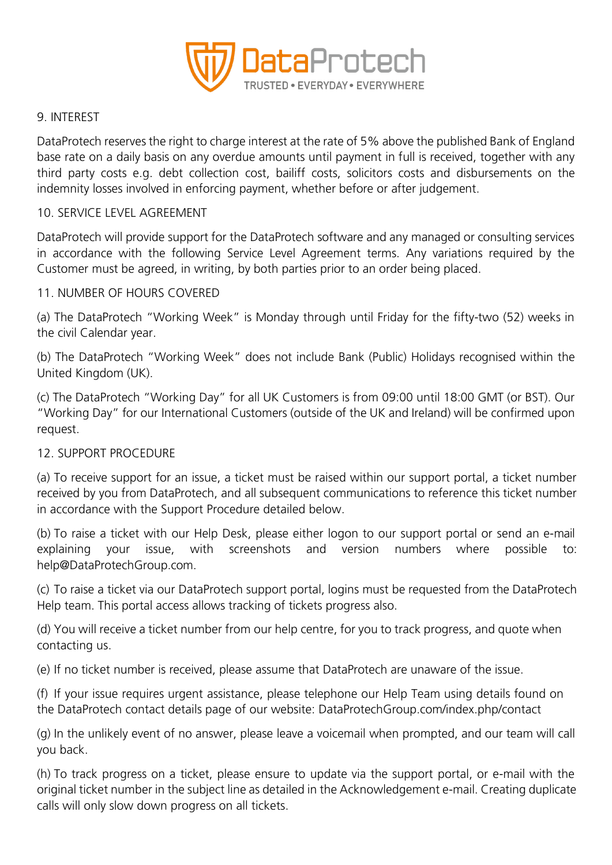

### 9. INTEREST

DataProtech reserves the right to charge interest at the rate of 5% above the published Bank of England base rate on a daily basis on any overdue amounts until payment in full is received, together with any third party costs e.g. debt collection cost, bailiff costs, solicitors costs and disbursements on the indemnity losses involved in enforcing payment, whether before or after judgement.

#### 10. SERVICE LEVEL AGREEMENT

DataProtech will provide support for the DataProtech software and any managed or consulting services in accordance with the following Service Level Agreement terms. Any variations required by the Customer must be agreed, in writing, by both parties prior to an order being placed.

### 11. NUMBER OF HOURS COVERED

(a) The DataProtech "Working Week" is Monday through until Friday for the fifty-two (52) weeks in the civil Calendar year.

(b) The DataProtech "Working Week" does not include Bank (Public) Holidays recognised within the United Kingdom (UK).

(c) The DataProtech "Working Day" for all UK Customers is from 09:00 until 18:00 GMT (or BST). Our "Working Day" for our International Customers (outside of the UK and Ireland) will be confirmed upon request.

#### 12. SUPPORT PROCEDURE

(a) To receive support for an issue, a ticket must be raised within our support portal, a ticket number received by you from DataProtech, and all subsequent communications to reference this ticket number in accordance with the Support Procedure detailed below.

(b) To raise a ticket with our Help Desk, please either logon to our support portal or send an e-mail explaining your issue, with screenshots and version numbers where possible to: help@DataProtechGroup.com.

(c) To raise a ticket via our DataProtech support portal, logins must be requested from the DataProtech Help team. This portal access allows tracking of tickets progress also.

(d) You will receive a ticket number from our help centre, for you to track progress, and quote when contacting us.

(e) If no ticket number is received, please assume that DataProtech are unaware of the issue.

(f) If your issue requires urgent assistance, please telephone our Help Team using details found on the DataProtech contact details page of our website: DataProtechGroup.com/index.php/contact

(g) In the unlikely event of no answer, please leave a voicemail when prompted, and our team will call you back.

(h) To track progress on a ticket, please ensure to update via the support portal, or e-mail with the original ticket number in the subject line as detailed in the Acknowledgement e-mail. Creating duplicate calls will only slow down progress on all tickets.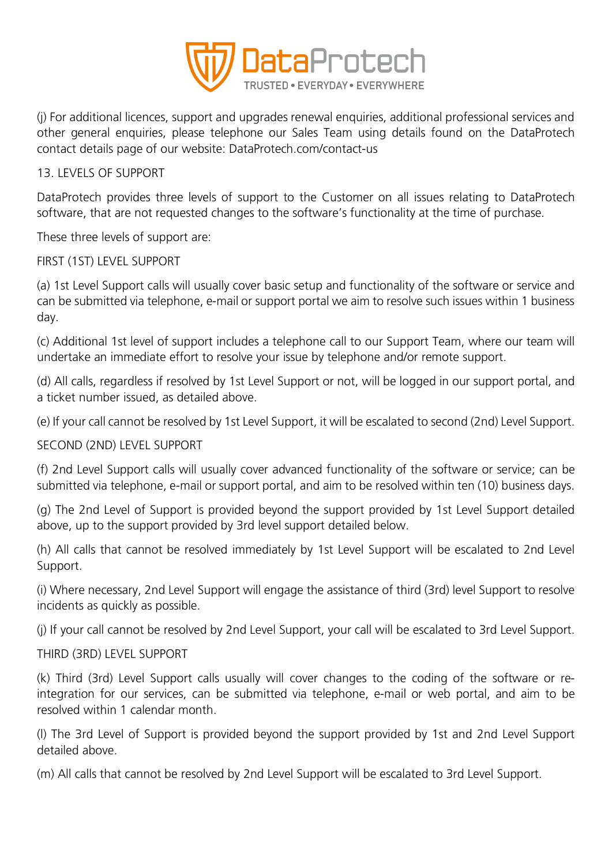

(j) For additional licences, support and upgrades renewal enquiries, additional professional services and other general enquiries, please telephone our Sales Team using details found on the DataProtech contact details page of our website: DataProtech.com/contact-us

# 13. LEVELS OF SUPPORT

DataProtech provides three levels of support to the Customer on all issues relating to DataProtech software, that are not requested changes to the software's functionality at the time of purchase.

These three levels of support are:

# FIRST (1ST) LEVEL SUPPORT

(a) 1st Level Support calls will usually cover basic setup and functionality of the software or service and can be submitted via telephone, e-mail or support portal we aim to resolve such issues within 1 business day.

(c) Additional 1st level of support includes a telephone call to our Support Team, where our team will undertake an immediate effort to resolve your issue by telephone and/or remote support.

(d) All calls, regardless if resolved by 1st Level Support or not, will be logged in our support portal, and a ticket number issued, as detailed above.

(e) If your call cannot be resolved by 1st Level Support, it will be escalated to second (2nd) Level Support.

# SECOND (2ND) LEVEL SUPPORT

(f) 2nd Level Support calls will usually cover advanced functionality of the software or service; can be submitted via telephone, e-mail or support portal, and aim to be resolved within ten (10) business days.

(g) The 2nd Level of Support is provided beyond the support provided by 1st Level Support detailed above, up to the support provided by 3rd level support detailed below.

(h) All calls that cannot be resolved immediately by 1st Level Support will be escalated to 2nd Level Support.

(i) Where necessary, 2nd Level Support will engage the assistance of third (3rd) level Support to resolve incidents as quickly as possible.

(j) If your call cannot be resolved by 2nd Level Support, your call will be escalated to 3rd Level Support.

# THIRD (3RD) LEVEL SUPPORT

(k) Third (3rd) Level Support calls usually will cover changes to the coding of the software or reintegration for our services, can be submitted via telephone, e-mail or web portal, and aim to be resolved within 1 calendar month.

(l) The 3rd Level of Support is provided beyond the support provided by 1st and 2nd Level Support detailed above.

(m) All calls that cannot be resolved by 2nd Level Support will be escalated to 3rd Level Support.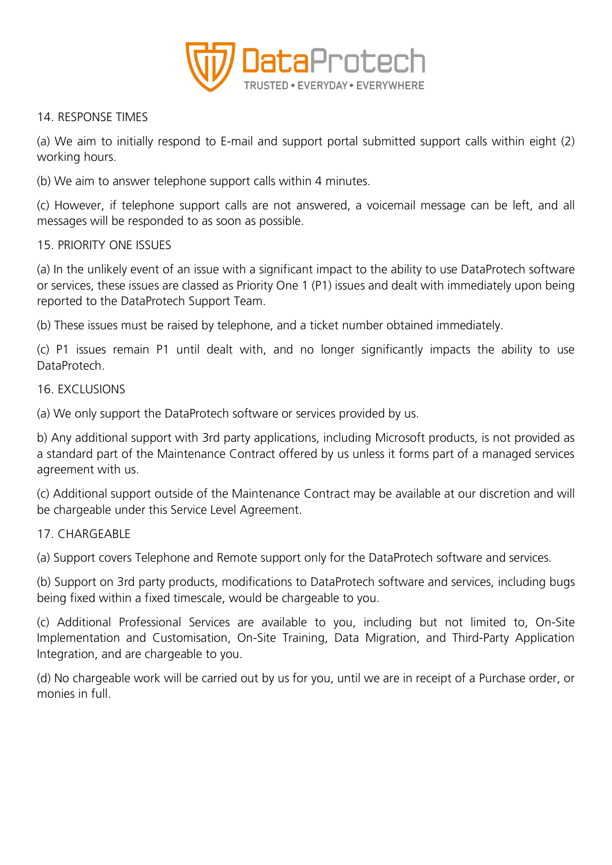

### 14. RESPONSE TIMES

(a) We aim to initially respond to E-mail and support portal submitted support calls within eight (2) working hours.

(b) We aim to answer telephone support calls within 4 minutes.

(c) However, if telephone support calls are not answered, a voicemail message can be left, and all messages will be responded to as soon as possible.

### 15. PRIORITY ONE ISSUES

(a) In the unlikely event of an issue with a significant impact to the ability to use DataProtech software or services, these issues are classed as Priority One 1 (P1) issues and dealt with immediately upon being reported to the DataProtech Support Team.

(b) These issues must be raised by telephone, and a ticket number obtained immediately.

(c) P1 issues remain P1 until dealt with, and no longer significantly impacts the ability to use DataProtech.

### 16. EXCLUSIONS

(a) We only support the DataProtech software or services provided by us.

b) Any additional support with 3rd party applications, including Microsoft products, is not provided as a standard part of the Maintenance Contract offered by us unless it forms part of a managed services agreement with us.

(c) Additional support outside of the Maintenance Contract may be available at our discretion and will be chargeable under this Service Level Agreement.

# 17. CHARGEABLE

(a) Support covers Telephone and Remote support only for the DataProtech software and services.

(b) Support on 3rd party products, modifications to DataProtech software and services, including bugs being fixed within a fixed timescale, would be chargeable to you.

(c) Additional Professional Services are available to you, including but not limited to, On-Site Implementation and Customisation, On-Site Training, Data Migration, and Third-Party Application Integration, and are chargeable to you.

(d) No chargeable work will be carried out by us for you, until we are in receipt of a Purchase order, or monies in full.